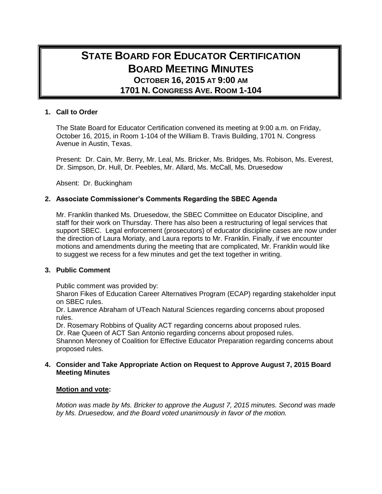# **STATE BOARD FOR EDUCATOR CERTIFICATION BOARD MEETING MINUTES OCTOBER 16, 2015 AT 9:00 AM 1701 N. CONGRESS AVE. ROOM 1-104**

## **1. Call to Order**

The State Board for Educator Certification convened its meeting at 9:00 a.m. on Friday, October 16, 2015, in Room 1-104 of the William B. Travis Building, 1701 N. Congress Avenue in Austin, Texas.

Present: Dr. Cain, Mr. Berry, Mr. Leal, Ms. Bricker, Ms. Bridges, Ms. Robison, Ms. Everest, Dr. Simpson, Dr. Hull, Dr. Peebles, Mr. Allard, Ms. McCall, Ms. Druesedow

Absent: Dr. Buckingham

## **2. Associate Commissioner's Comments Regarding the SBEC Agenda**

Mr. Franklin thanked Ms. Druesedow, the SBEC Committee on Educator Discipline, and staff for their work on Thursday. There has also been a restructuring of legal services that support SBEC. Legal enforcement (prosecutors) of educator discipline cases are now under the direction of Laura Moriaty, and Laura reports to Mr. Franklin. Finally, if we encounter motions and amendments during the meeting that are complicated, Mr. Franklin would like to suggest we recess for a few minutes and get the text together in writing.

#### **3. Public Comment**

Public comment was provided by:

Sharon Fikes of Education Career Alternatives Program (ECAP) regarding stakeholder input on SBEC rules.

Dr. Lawrence Abraham of UTeach Natural Sciences regarding concerns about proposed rules.

Dr. Rosemary Robbins of Quality ACT regarding concerns about proposed rules.

Dr. Rae Queen of ACT San Antonio regarding concerns about proposed rules.

Shannon Meroney of Coalition for Effective Educator Preparation regarding concerns about proposed rules.

## **4. Consider and Take Appropriate Action on Request to Approve August 7, 2015 Board Meeting Minutes**

#### **Motion and vote:**

*Motion was made by Ms. Bricker to approve the August 7, 2015 minutes. Second was made by Ms. Druesedow, and the Board voted unanimously in favor of the motion.*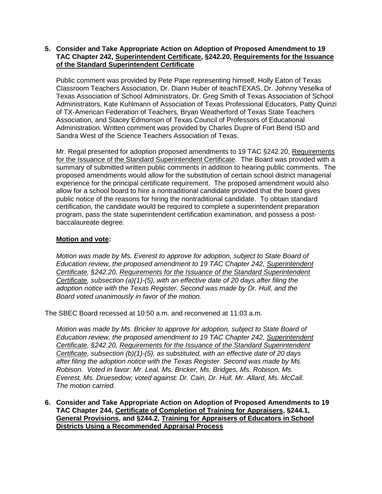## **5. Consider and Take Appropriate Action on Adoption of Proposed Amendment to 19 TAC Chapter 242, Superintendent Certificate, §242.20, Requirements for the Issuance of the Standard Superintendent Certificate**

Public comment was provided by Pete Pape representing himself, Holly Eaton of Texas Classroom Teachers Association, Dr. Diann Huber of iteachTEXAS, Dr. Johnny Veselka of Texas Association of School Administrators, Dr. Greg Smith of Texas Association of School Administrators, Kate Kuhlmann of Association of Texas Professional Educators, Patty Quinzi of TX-American Federation of Teachers, Bryan Weatherford of Texas State Teachers Association, and Stacey Edmonson of Texas Council of Professors of Educational Administration. Written comment was provided by Charles Dupre of Fort Bend ISD and Sandra West of the Science Teachers Association of Texas.

Mr. Regal presented for adoption proposed amendments to 19 TAC §242.20, Requirements for the Issuance of the Standard Superintendent Certificate. The Board was provided with a summary of submitted written public comments in addition to hearing public comments. The proposed amendments would allow for the substitution of certain school district managerial experience for the principal certificate requirement. The proposed amendment would also allow for a school board to hire a nontraditional candidate provided that the board gives public notice of the reasons for hiring the nontraditional candidate. To obtain standard certification, the candidate would be required to complete a superintendent preparation program, pass the state superintendent certification examination, and possess a postbaccalaureate degree.

## **Motion and vote:**

*Motion was made by Ms. Everest to approve for adoption, subject to State Board of Education review, the proposed amendment to 19 TAC Chapter 242, Superintendent Certificate, §242.20, Requirements for the Issuance of the Standard Superintendent Certificate, subsection (a)(1)-(5), with an effective date of 20 days after filing the adoption notice with the Texas Register. Second was made by Dr. Hull, and the Board voted unanimously in favor of the motion.*

The SBEC Board recessed at 10:50 a.m. and reconvened at 11:03 a.m.

*Motion was made by Ms. Bricker to approve for adoption, subject to State Board of Education review, the proposed amendment to 19 TAC Chapter 242, Superintendent Certificate, §242.20, Requirements for the Issuance of the Standard Superintendent Certificate, subsection (b)(1)-(5), as substituted, with an effective date of 20 days after filing the adoption notice with the Texas Register*. *Second was made by Ms. Robison. Voted in favor: Mr. Leal, Ms. Bricker, Ms. Bridges, Ms. Robison, Ms. Everest, Ms. Druesedow; voted against: Dr. Cain, Dr. Hull, Mr. Allard, Ms. McCall. The motion carried.*

**6. Consider and Take Appropriate Action on Adoption of Proposed Amendments to 19 TAC Chapter 244, Certificate of Completion of Training for Appraisers, §244.1, General Provisions, and §244.2, Training for Appraisers of Educators in School Districts Using a Recommended Appraisal Process**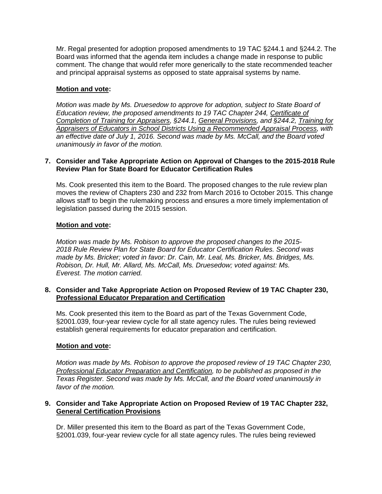Mr. Regal presented for adoption proposed amendments to 19 TAC §244.1 and §244.2. The Board was informed that the agenda item includes a change made in response to public comment. The change that would refer more generically to the state recommended teacher and principal appraisal systems as opposed to state appraisal systems by name.

## **Motion and vote:**

*Motion was made by Ms. Druesedow to approve for adoption, subject to State Board of Education review, the proposed amendments to 19 TAC Chapter 244, Certificate of Completion of Training for Appraisers, §244.1, General Provisions, and §244.2, Training for Appraisers of Educators in School Districts Using a Recommended Appraisal Process, with an effective date of July 1, 2016. Second was made by Ms. McCall, and the Board voted unanimously in favor of the motion.*

## **7. Consider and Take Appropriate Action on Approval of Changes to the 2015-2018 Rule Review Plan for State Board for Educator Certification Rules**

Ms. Cook presented this item to the Board. The proposed changes to the rule review plan moves the review of Chapters 230 and 232 from March 2016 to October 2015. This change allows staff to begin the rulemaking process and ensures a more timely implementation of legislation passed during the 2015 session.

## **Motion and vote:**

*Motion was made by Ms. Robison to approve the proposed changes to the 2015- 2018 Rule Review Plan for State Board for Educator Certification Rules. Second was made by Ms. Bricker; voted in favor: Dr. Cain, Mr. Leal, Ms. Bricker, Ms. Bridges, Ms. Robison, Dr. Hull, Mr. Allard, Ms. McCall, Ms. Druesedow; voted against: Ms. Everest. The motion carried.*

## **8. Consider and Take Appropriate Action on Proposed Review of 19 TAC Chapter 230, Professional Educator Preparation and Certification**

Ms. Cook presented this item to the Board as part of the Texas Government Code, §2001.039, four-year review cycle for all state agency rules. The rules being reviewed establish general requirements for educator preparation and certification.

## **Motion and vote:**

*Motion was made by Ms. Robison to approve the proposed review of 19 TAC Chapter 230, Professional Educator Preparation and Certification, to be published as proposed in the Texas Register. Second was made by Ms. McCall, and the Board voted unanimously in favor of the motion.*

## **9. Consider and Take Appropriate Action on Proposed Review of 19 TAC Chapter 232, General Certification Provisions**

Dr. Miller presented this item to the Board as part of the Texas Government Code, §2001.039, four-year review cycle for all state agency rules. The rules being reviewed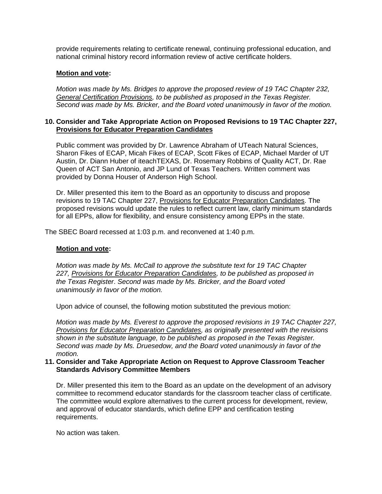provide requirements relating to certificate renewal, continuing professional education, and national criminal history record information review of active certificate holders.

## **Motion and vote:**

*Motion was made by Ms. Bridges to approve the proposed review of 19 TAC Chapter 232, General Certification Provisions, to be published as proposed in the Texas Register. Second was made by Ms. Bricker, and the Board voted unanimously in favor of the motion.*

#### **10. Consider and Take Appropriate Action on Proposed Revisions to 19 TAC Chapter 227, Provisions for Educator Preparation Candidates**

Public comment was provided by Dr. Lawrence Abraham of UTeach Natural Sciences, Sharon Fikes of ECAP, Micah Fikes of ECAP, Scott Fikes of ECAP, Michael Marder of UT Austin, Dr. Diann Huber of iteachTEXAS, Dr. Rosemary Robbins of Quality ACT, Dr. Rae Queen of ACT San Antonio, and JP Lund of Texas Teachers. Written comment was provided by Donna Houser of Anderson High School.

Dr. Miller presented this item to the Board as an opportunity to discuss and propose revisions to 19 TAC Chapter 227, Provisions for Educator Preparation Candidates. The proposed revisions would update the rules to reflect current law, clarify minimum standards for all EPPs, allow for flexibility, and ensure consistency among EPPs in the state.

The SBEC Board recessed at 1:03 p.m. and reconvened at 1:40 p.m.

#### **Motion and vote:**

*Motion was made by Ms. McCall to approve the substitute text for 19 TAC Chapter 227, Provisions for Educator Preparation Candidates, to be published as proposed in the Texas Register*. *Second was made by Ms. Bricker, and the Board voted unanimously in favor of the motion.*

Upon advice of counsel, the following motion substituted the previous motion:

*Motion was made by Ms. Everest to approve the proposed revisions in 19 TAC Chapter 227, Provisions for Educator Preparation Candidates, as originally presented with the revisions shown in the substitute language, to be published as proposed in the Texas Register. Second was made by Ms. Druesedow, and the Board voted unanimously in favor of the motion.*

#### **11. Consider and Take Appropriate Action on Request to Approve Classroom Teacher Standards Advisory Committee Members**

Dr. Miller presented this item to the Board as an update on the development of an advisory committee to recommend educator standards for the classroom teacher class of certificate. The committee would explore alternatives to the current process for development, review, and approval of educator standards, which define EPP and certification testing requirements.

No action was taken.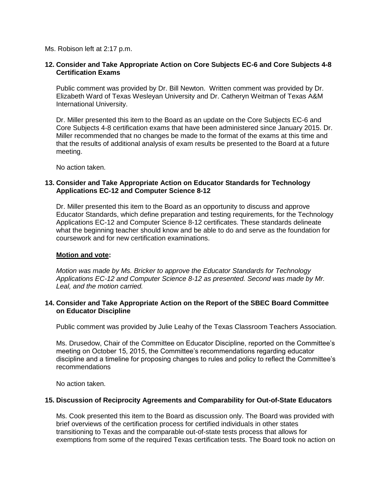Ms. Robison left at 2:17 p.m.

## **12. Consider and Take Appropriate Action on Core Subjects EC-6 and Core Subjects 4-8 Certification Exams**

Public comment was provided by Dr. Bill Newton. Written comment was provided by Dr. Elizabeth Ward of Texas Wesleyan University and Dr. Catheryn Weitman of Texas A&M International University.

Dr. Miller presented this item to the Board as an update on the Core Subjects EC-6 and Core Subjects 4-8 certification exams that have been administered since January 2015. Dr. Miller recommended that no changes be made to the format of the exams at this time and that the results of additional analysis of exam results be presented to the Board at a future meeting.

No action taken.

## **13. Consider and Take Appropriate Action on Educator Standards for Technology Applications EC-12 and Computer Science 8-12**

Dr. Miller presented this item to the Board as an opportunity to discuss and approve Educator Standards, which define preparation and testing requirements, for the Technology Applications EC-12 and Computer Science 8-12 certificates. These standards delineate what the beginning teacher should know and be able to do and serve as the foundation for coursework and for new certification examinations.

## **Motion and vote:**

*Motion was made by Ms. Bricker to approve the Educator Standards for Technology Applications EC-12 and Computer Science 8-12 as presented. Second was made by Mr. Leal, and the motion carried.*

## **14. Consider and Take Appropriate Action on the Report of the SBEC Board Committee on Educator Discipline**

Public comment was provided by Julie Leahy of the Texas Classroom Teachers Association.

Ms. Drusedow, Chair of the Committee on Educator Discipline, reported on the Committee's meeting on October 15, 2015, the Committee's recommendations regarding educator discipline and a timeline for proposing changes to rules and policy to reflect the Committee's recommendations

No action taken.

## **15. Discussion of Reciprocity Agreements and Comparability for Out-of-State Educators**

Ms. Cook presented this item to the Board as discussion only. The Board was provided with brief overviews of the certification process for certified individuals in other states transitioning to Texas and the comparable out-of-state tests process that allows for exemptions from some of the required Texas certification tests. The Board took no action on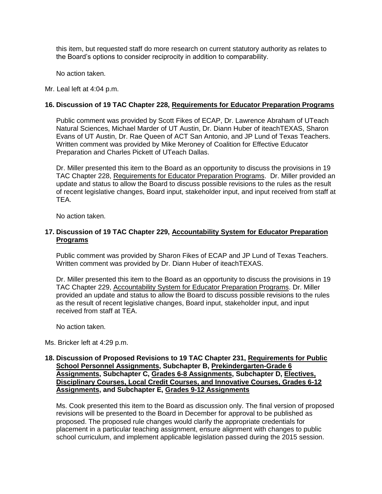this item, but requested staff do more research on current statutory authority as relates to the Board's options to consider reciprocity in addition to comparability.

No action taken.

Mr. Leal left at 4:04 p.m.

## **16. Discussion of 19 TAC Chapter 228, Requirements for Educator Preparation Programs**

Public comment was provided by Scott Fikes of ECAP, Dr. Lawrence Abraham of UTeach Natural Sciences, Michael Marder of UT Austin, Dr. Diann Huber of iteachTEXAS, Sharon Evans of UT Austin, Dr. Rae Queen of ACT San Antonio, and JP Lund of Texas Teachers. Written comment was provided by Mike Meroney of Coalition for Effective Educator Preparation and Charles Pickett of UTeach Dallas.

Dr. Miller presented this item to the Board as an opportunity to discuss the provisions in 19 TAC Chapter 228, Requirements for Educator Preparation Programs. Dr. Miller provided an update and status to allow the Board to discuss possible revisions to the rules as the result of recent legislative changes, Board input, stakeholder input, and input received from staff at TEA.

No action taken.

## **17. Discussion of 19 TAC Chapter 229, Accountability System for Educator Preparation Programs**

Public comment was provided by Sharon Fikes of ECAP and JP Lund of Texas Teachers. Written comment was provided by Dr. Diann Huber of iteachTEXAS.

Dr. Miller presented this item to the Board as an opportunity to discuss the provisions in 19 TAC Chapter 229, Accountability System for Educator Preparation Programs. Dr. Miller provided an update and status to allow the Board to discuss possible revisions to the rules as the result of recent legislative changes, Board input, stakeholder input, and input received from staff at TEA.

No action taken.

Ms. Bricker left at 4:29 p.m.

#### **18. Discussion of Proposed Revisions to 19 TAC Chapter 231, Requirements for Public School Personnel Assignments, Subchapter B, Prekindergarten-Grade 6 Assignments, Subchapter C, Grades 6-8 Assignments, Subchapter D, Electives, Disciplinary Courses, Local Credit Courses, and Innovative Courses, Grades 6-12 Assignments, and Subchapter E, Grades 9-12 Assignments**

Ms. Cook presented this item to the Board as discussion only. The final version of proposed revisions will be presented to the Board in December for approval to be published as proposed. The proposed rule changes would clarify the appropriate credentials for placement in a particular teaching assignment, ensure alignment with changes to public school curriculum, and implement applicable legislation passed during the 2015 session.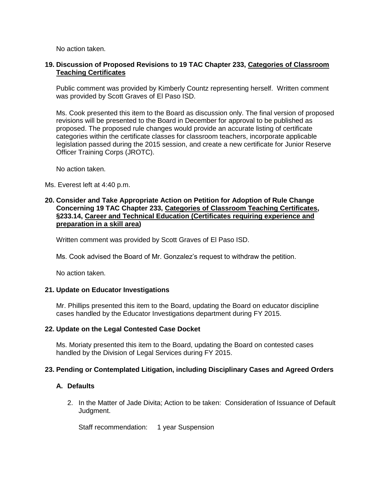No action taken.

## **19. Discussion of Proposed Revisions to 19 TAC Chapter 233, Categories of Classroom Teaching Certificates**

Public comment was provided by Kimberly Countz representing herself. Written comment was provided by Scott Graves of El Paso ISD.

Ms. Cook presented this item to the Board as discussion only. The final version of proposed revisions will be presented to the Board in December for approval to be published as proposed. The proposed rule changes would provide an accurate listing of certificate categories within the certificate classes for classroom teachers, incorporate applicable legislation passed during the 2015 session, and create a new certificate for Junior Reserve Officer Training Corps (JROTC).

No action taken.

Ms. Everest left at 4:40 p.m.

## **20. Consider and Take Appropriate Action on Petition for Adoption of Rule Change Concerning 19 TAC Chapter 233, Categories of Classroom Teaching Certificates, §233.14, Career and Technical Education (Certificates requiring experience and preparation in a skill area)**

Written comment was provided by Scott Graves of El Paso ISD.

Ms. Cook advised the Board of Mr. Gonzalez's request to withdraw the petition.

No action taken.

## **21. Update on Educator Investigations**

Mr. Phillips presented this item to the Board, updating the Board on educator discipline cases handled by the Educator Investigations department during FY 2015.

## **22. Update on the Legal Contested Case Docket**

Ms. Moriaty presented this item to the Board, updating the Board on contested cases handled by the Division of Legal Services during FY 2015.

## **23. Pending or Contemplated Litigation, including Disciplinary Cases and Agreed Orders**

## **A. Defaults**

2. In the Matter of Jade Divita; Action to be taken: Consideration of Issuance of Default Judgment.

Staff recommendation: 1 year Suspension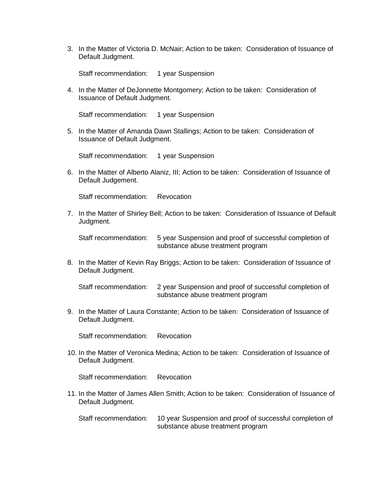3. In the Matter of Victoria D. McNair; Action to be taken: Consideration of Issuance of Default Judgment.

Staff recommendation: 1 year Suspension

4. In the Matter of DeJonnette Montgomery; Action to be taken: Consideration of Issuance of Default Judgment.

Staff recommendation: 1 year Suspension

5. In the Matter of Amanda Dawn Stallings; Action to be taken: Consideration of Issuance of Default Judgment.

Staff recommendation: 1 year Suspension

6. In the Matter of Alberto Alaniz, III; Action to be taken: Consideration of Issuance of Default Judgement.

Staff recommendation: Revocation

7. In the Matter of Shirley Bell; Action to be taken: Consideration of Issuance of Default Judgment.

Staff recommendation: 5 year Suspension and proof of successful completion of substance abuse treatment program

8. In the Matter of Kevin Ray Briggs; Action to be taken: Consideration of Issuance of Default Judgment.

Staff recommendation: 2 year Suspension and proof of successful completion of substance abuse treatment program

9. In the Matter of Laura Constante; Action to be taken: Consideration of Issuance of Default Judgment.

Staff recommendation: Revocation

10. In the Matter of Veronica Medina; Action to be taken: Consideration of Issuance of Default Judgment.

Staff recommendation: Revocation

11. In the Matter of James Allen Smith; Action to be taken: Consideration of Issuance of Default Judgment.

Staff recommendation: 10 year Suspension and proof of successful completion of substance abuse treatment program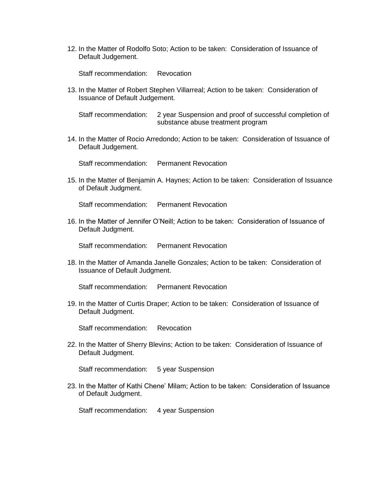12. In the Matter of Rodolfo Soto; Action to be taken: Consideration of Issuance of Default Judgement.

Staff recommendation: Revocation

13. In the Matter of Robert Stephen Villarreal; Action to be taken: Consideration of Issuance of Default Judgement.

Staff recommendation: 2 year Suspension and proof of successful completion of substance abuse treatment program

14. In the Matter of Rocio Arredondo; Action to be taken: Consideration of Issuance of Default Judgement.

Staff recommendation: Permanent Revocation

15. In the Matter of Benjamin A. Haynes; Action to be taken: Consideration of Issuance of Default Judgment.

Staff recommendation: Permanent Revocation

16. In the Matter of Jennifer O'Neill; Action to be taken: Consideration of Issuance of Default Judgment.

Staff recommendation: Permanent Revocation

18. In the Matter of Amanda Janelle Gonzales; Action to be taken: Consideration of Issuance of Default Judgment.

Staff recommendation: Permanent Revocation

19. In the Matter of Curtis Draper; Action to be taken: Consideration of Issuance of Default Judgment.

Staff recommendation: Revocation

22. In the Matter of Sherry Blevins; Action to be taken: Consideration of Issuance of Default Judgment.

Staff recommendation: 5 year Suspension

23. In the Matter of Kathi Chene' Milam; Action to be taken: Consideration of Issuance of Default Judgment.

Staff recommendation: 4 year Suspension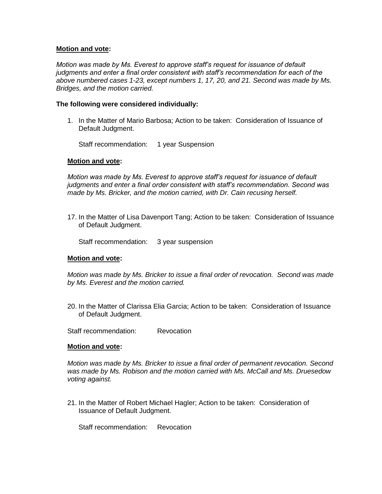*Motion was made by Ms. Everest to approve staff's request for issuance of default judgments and enter a final order consistent with staff's recommendation for each of the above numbered cases 1-23, except numbers 1, 17, 20, and 21. Second was made by Ms. Bridges, and the motion carried.*

## **The following were considered individually:**

1. In the Matter of Mario Barbosa; Action to be taken: Consideration of Issuance of Default Judgment.

Staff recommendation: 1 year Suspension

## **Motion and vote:**

*Motion was made by Ms. Everest to approve staff's request for issuance of default judgments and enter a final order consistent with staff's recommendation. Second was made by Ms. Bricker, and the motion carried, with Dr. Cain recusing herself.*

17. In the Matter of Lisa Davenport Tang; Action to be taken: Consideration of Issuance of Default Judgment.

Staff recommendation: 3 year suspension

#### **Motion and vote:**

*Motion was made by Ms. Bricker to issue a final order of revocation. Second was made by Ms. Everest and the motion carried.*

20. In the Matter of Clarissa Elia Garcia; Action to be taken: Consideration of Issuance of Default Judgment.

Staff recommendation: Revocation

#### **Motion and vote:**

*Motion was made by Ms. Bricker to issue a final order of permanent revocation. Second was made by Ms. Robison and the motion carried with Ms. McCall and Ms. Druesedow voting against.*

21. In the Matter of Robert Michael Hagler; Action to be taken: Consideration of Issuance of Default Judgment.

Staff recommendation: Revocation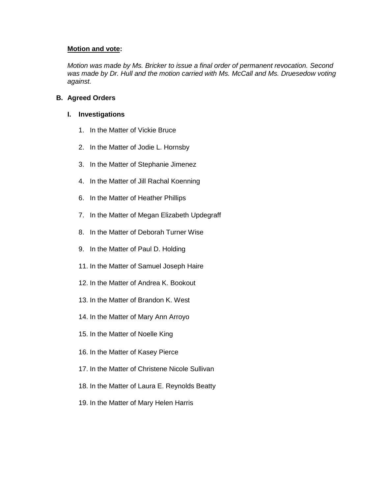*Motion was made by Ms. Bricker to issue a final order of permanent revocation. Second*  was made by Dr. Hull and the motion carried with Ms. McCall and Ms. Druesedow voting *against.*

## **B. Agreed Orders**

## **I. Investigations**

- 1. In the Matter of Vickie Bruce
- 2. In the Matter of Jodie L. Hornsby
- 3. In the Matter of Stephanie Jimenez
- 4. In the Matter of Jill Rachal Koenning
- 6. In the Matter of Heather Phillips
- 7. In the Matter of Megan Elizabeth Updegraff
- 8. In the Matter of Deborah Turner Wise
- 9. In the Matter of Paul D. Holding
- 11. In the Matter of Samuel Joseph Haire
- 12. In the Matter of Andrea K. Bookout
- 13. In the Matter of Brandon K. West
- 14. In the Matter of Mary Ann Arroyo
- 15. In the Matter of Noelle King
- 16. In the Matter of Kasey Pierce
- 17. In the Matter of Christene Nicole Sullivan
- 18. In the Matter of Laura E. Reynolds Beatty
- 19. In the Matter of Mary Helen Harris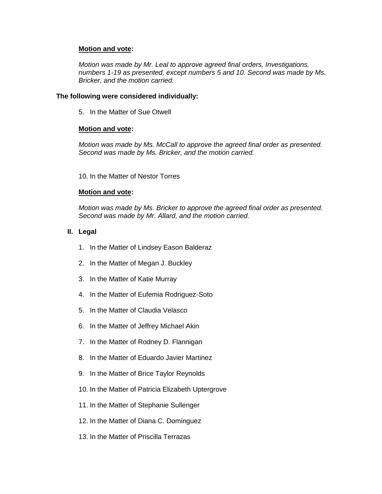*Motion was made by Mr. Leal to approve agreed final orders, Investigations, numbers 1-19 as presented, except numbers 5 and 10. Second was made by Ms. Bricker, and the motion carried.*

## **The following were considered individually:**

5. In the Matter of Sue Otwell

## **Motion and vote:**

*Motion was made by Ms. McCall to approve the agreed final order as presented. Second was made by Ms. Bricker, and the motion carried.*

10. In the Matter of Nestor Torres

## **Motion and vote:**

*Motion was made by Ms. Bricker to approve the agreed final order as presented. Second was made by Mr. Allard, and the motion carried.*

## **II. Legal**

- 1. In the Matter of Lindsey Eason Balderaz
- 2. In the Matter of Megan J. Buckley
- 3. In the Matter of Katie Murray
- 4. In the Matter of Eufemia Rodriguez-Soto
- 5. In the Matter of Claudia Velasco
- 6. In the Matter of Jeffrey Michael Akin
- 7. In the Matter of Rodney D. Flannigan
- 8. In the Matter of Eduardo Javier Martinez
- 9. In the Matter of Brice Taylor Reynolds
- 10. In the Matter of Patricia Elizabeth Uptergrove
- 11. In the Matter of Stephanie Sullenger
- 12. In the Matter of Diana C. Dominguez
- 13. In the Matter of Priscilla Terrazas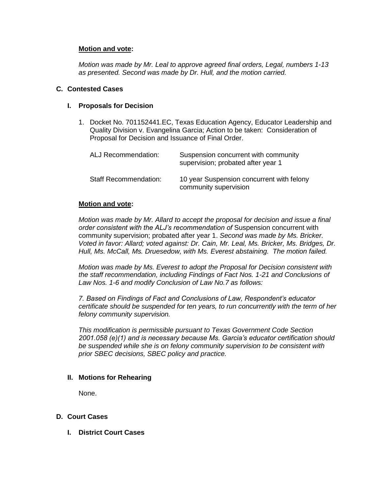*Motion was made by Mr. Leal to approve agreed final orders, Legal, numbers 1-13 as presented. Second was made by Dr. Hull, and the motion carried.*

#### **C. Contested Cases**

#### **I. Proposals for Decision**

1. Docket No. 701152441.EC, Texas Education Agency, Educator Leadership and Quality Division v. Evangelina Garcia; Action to be taken: Consideration of Proposal for Decision and Issuance of Final Order.

| ALJ Recommendation:          | Suspension concurrent with community<br>supervision; probated after year 1 |
|------------------------------|----------------------------------------------------------------------------|
| <b>Staff Recommendation:</b> | 10 year Suspension concurrent with felony<br>community supervision         |

## **Motion and vote:**

*Motion was made by Mr. Allard to accept the proposal for decision and issue a final order consistent with the ALJ's recommendation of* Suspension concurrent with community supervision; probated after year 1. *Second was made by Ms. Bricker. Voted in favor: Allard; voted against: Dr. Cain, Mr. Leal, Ms. Bricker, Ms. Bridges, Dr. Hull, Ms. McCall, Ms. Druesedow, with Ms. Everest abstaining. The motion failed.*

*Motion was made by Ms. Everest to adopt the Proposal for Decision consistent with the staff recommendation, including Findings of Fact Nos. 1-21 and Conclusions of Law Nos. 1-6 and modify Conclusion of Law No.7 as follows:* 

*7. Based on Findings of Fact and Conclusions of Law, Respondent's educator certificate should be suspended for ten years, to run concurrently with the term of her felony community supervision.*

*This modification is permissible pursuant to Texas Government Code Section 2001.058 (e)(1) and is necessary because Ms. Garcia's educator certification should be suspended while she is on felony community supervision to be consistent with prior SBEC decisions, SBEC policy and practice.*

## **II. Motions for Rehearing**

None.

## **D. Court Cases**

**I. District Court Cases**